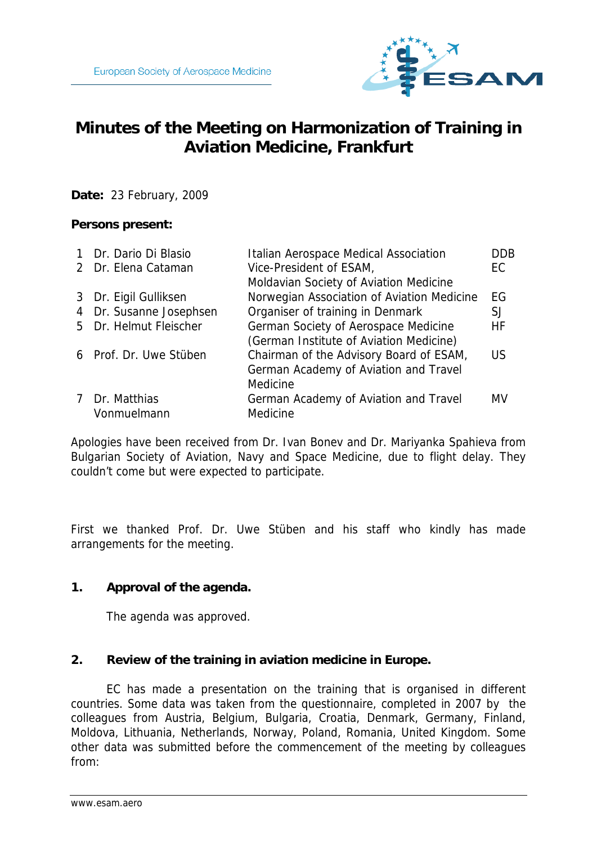

# **Minutes of the Meeting on Harmonization of Training in Aviation Medicine, Frankfurt**

**Date:** 23 February, 2009

## **Persons present:**

| 1 Dr. Dario Di Blasio   | Italian Aerospace Medical Association      | <b>DDB</b> |
|-------------------------|--------------------------------------------|------------|
| 2 Dr. Elena Cataman     | Vice-President of ESAM,                    | EC         |
|                         | Moldavian Society of Aviation Medicine     |            |
| 3 Dr. Eigil Gulliksen   | Norwegian Association of Aviation Medicine | EG         |
| 4 Dr. Susanne Josephsen | Organiser of training in Denmark           | SJ         |
| 5 Dr. Helmut Fleischer  | German Society of Aerospace Medicine       | HF         |
|                         | (German Institute of Aviation Medicine)    |            |
| 6 Prof. Dr. Uwe Stüben  | Chairman of the Advisory Board of ESAM,    | US         |
|                         | German Academy of Aviation and Travel      |            |
|                         | Medicine                                   |            |
| 7 Dr. Matthias          | German Academy of Aviation and Travel      | MV         |
| Vonmuelmann             | Medicine                                   |            |

Apologies have been received from Dr. Ivan Bonev and Dr. Mariyanka Spahieva from Bulgarian Society of Aviation, Navy and Space Medicine, due to flight delay. They couldn't come but were expected to participate.

First we thanked Prof. Dr. Uwe Stüben and his staff who kindly has made arrangements for the meeting.

### **1. Approval of the agenda.**

The agenda was approved.

### **2. Review of the training in aviation medicine in Europe.**

EC has made a presentation on the training that is organised in different countries. Some data was taken from the questionnaire, completed in 2007 by the colleagues from Austria, Belgium, Bulgaria, Croatia, Denmark, Germany, Finland, Moldova, Lithuania, Netherlands, Norway, Poland, Romania, United Kingdom. Some other data was submitted before the commencement of the meeting by colleagues from: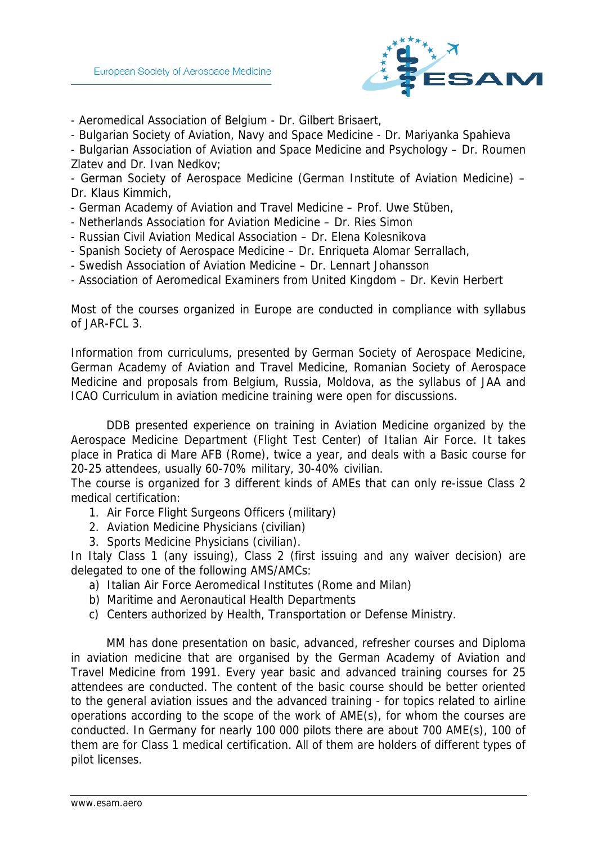

- Aeromedical Association of Belgium - Dr. Gilbert Brisaert,

- Bulgarian Society of Aviation, Navy and Space Medicine - Dr. Mariyanka Spahieva

- Bulgarian Association of Aviation and Space Medicine and Psychology – Dr. Roumen Zlatev and Dr. Ivan Nedkov;

- German Society of Aerospace Medicine (German Institute of Aviation Medicine) – Dr. Klaus Kimmich,

- German Academy of Aviation and Travel Medicine Prof. Uwe Stüben,
- Netherlands Association for Aviation Medicine Dr. Ries Simon
- Russian Civil Aviation Medical Association Dr. Elena Kolesnikova
- Spanish Society of Aerospace Medicine Dr. Enriqueta Alomar Serrallach,
- Swedish Association of Aviation Medicine Dr. Lennart Johansson
- Association of Aeromedical Examiners from United Kingdom Dr. Kevin Herbert

Most of the courses organized in Europe are conducted in compliance with syllabus of JAR-FCL 3.

Information from curriculums, presented by German Society of Aerospace Medicine, German Academy of Aviation and Travel Medicine, Romanian Society of Aerospace Medicine and proposals from Belgium, Russia, Moldova, as the syllabus of JAA and ICAO Curriculum in aviation medicine training were open for discussions.

DDB presented experience on training in Aviation Medicine organized by the Aerospace Medicine Department (Flight Test Center) of Italian Air Force. It takes place in Pratica di Mare AFB (Rome), twice a year, and deals with a Basic course for 20-25 attendees, usually 60-70% military, 30-40% civilian.

The course is organized for 3 different kinds of AMEs that can only re-issue Class 2 medical certification:

- 1. Air Force Flight Surgeons Officers (military)
- 2. Aviation Medicine Physicians (civilian)
- 3. Sports Medicine Physicians (civilian).

In Italy Class 1 (any issuing), Class 2 (first issuing and any waiver decision) are delegated to one of the following AMS/AMCs:

- a) Italian Air Force Aeromedical Institutes (Rome and Milan)
- b) Maritime and Aeronautical Health Departments
- c) Centers authorized by Health, Transportation or Defense Ministry.

MM has done presentation on basic, advanced, refresher courses and Diploma in aviation medicine that are organised by the German Academy of Aviation and Travel Medicine from 1991. Every year basic and advanced training courses for 25 attendees are conducted. The content of the basic course should be better oriented to the general aviation issues and the advanced training - for topics related to airline operations according to the scope of the work of AME(s), for whom the courses are conducted. In Germany for nearly 100 000 pilots there are about 700 AME(s), 100 of them are for Class 1 medical certification. All of them are holders of different types of pilot licenses.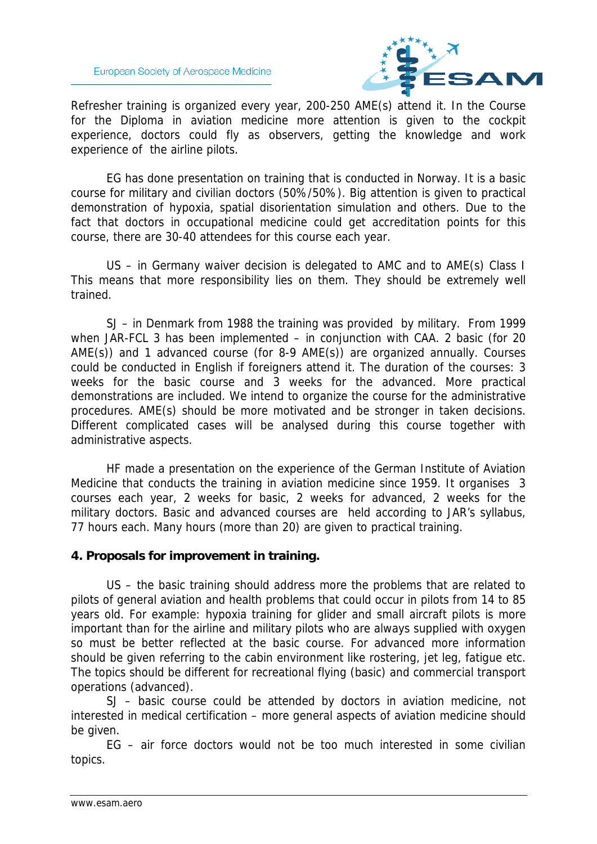

Refresher training is organized every year, 200-250 AME(s) attend it. In the Course for the Diploma in aviation medicine more attention is given to the cockpit experience, doctors could fly as observers, getting the knowledge and work experience of the airline pilots.

EG has done presentation on training that is conducted in Norway. It is a basic course for military and civilian doctors (50%/50%). Big attention is given to practical demonstration of hypoxia, spatial disorientation simulation and others. Due to the fact that doctors in occupational medicine could get accreditation points for this course, there are 30-40 attendees for this course each year.

 US – in Germany waiver decision is delegated to AMC and to AME(s) Class I This means that more responsibility lies on them. They should be extremely well trained.

 SJ – in Denmark from 1988 the training was provided by military. From 1999 when JAR-FCL 3 has been implemented – in conjunction with CAA. 2 basic (for 20 AME(s)) and 1 advanced course (for 8-9 AME(s)) are organized annually. Courses could be conducted in English if foreigners attend it. The duration of the courses: 3 weeks for the basic course and 3 weeks for the advanced. More practical demonstrations are included. We intend to organize the course for the administrative procedures. AME(s) should be more motivated and be stronger in taken decisions. Different complicated cases will be analysed during this course together with administrative aspects.

 HF made a presentation on the experience of the German Institute of Aviation Medicine that conducts the training in aviation medicine since 1959. It organises 3 courses each year, 2 weeks for basic, 2 weeks for advanced, 2 weeks for the military doctors. Basic and advanced courses are held according to JAR's syllabus, 77 hours each. Many hours (more than 20) are given to practical training.

### **4. Proposals for improvement in training.**

 US – the basic training should address more the problems that are related to pilots of general aviation and health problems that could occur in pilots from 14 to 85 years old. For example: hypoxia training for glider and small aircraft pilots is more important than for the airline and military pilots who are always supplied with oxygen so must be better reflected at the basic course. For advanced more information should be given referring to the cabin environment like rostering, jet leg, fatigue etc. The topics should be different for recreational flying (basic) and commercial transport operations (advanced).

 SJ – basic course could be attended by doctors in aviation medicine, not interested in medical certification – more general aspects of aviation medicine should be given.

 EG – air force doctors would not be too much interested in some civilian topics.